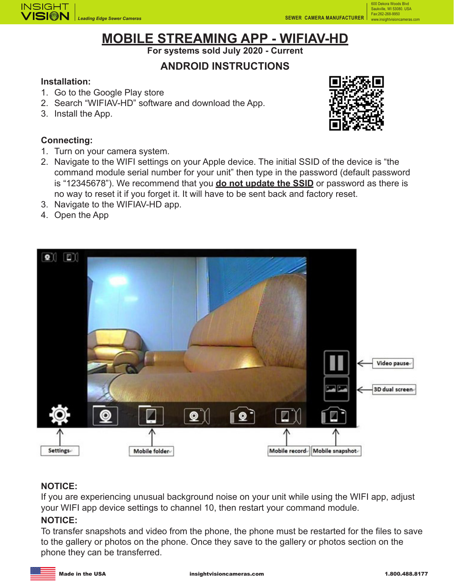

# **MOBILE STREAMING APP - WIFIAV-HD**

**For systems sold July 2020 - Current**

## **ANDROID INSTRUCTIONS**

#### **Installation:**

- 1. Go to the Google Play store
- 2. Search "WIFIAV-HD" software and download the App.
- 3. Install the App.

#### **Connecting:**

- 1. Turn on your camera system.
- 2. Navigate to the WIFI settings on your Apple device. The initial SSID of the device is "the command module serial number for your unit" then type in the password (default password is "12345678"). We recommend that you **do not update the SSID** or password as there is no way to reset it if you forget it. It will have to be sent back and factory reset.
- 3. Navigate to the WIFIAV-HD app.
- 4. Open the App



#### **NOTICE:**

If you are experiencing unusual background noise on your unit while using the WIFI app, adjust your WIFI app device settings to channel 10, then restart your command module.

#### **NOTICE:**

To transfer snapshots and video from the phone, the phone must be restarted for the files to save to the gallery or photos on the phone. Once they save to the gallery or photos section on the phone they can be transferred.



600 Dekora Woods Blvd Saukville, WI 53080. USA Fax:262-268-9950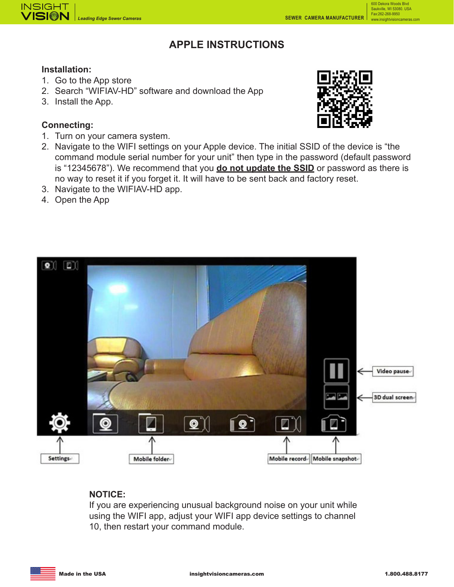

## **APPLE INSTRUCTIONS**

#### **Installation:**

- 1. Go to the App store
- 2. Search "WIFIAV-HD" software and download the App
- 3. Install the App.

#### **Connecting:**

1. Turn on your camera system.



600 Dekora Woods Blvd Saukville, WI 53080. USA Fax:262-268-9950

- 2. Navigate to the WIFI settings on your Apple device. The initial SSID of the device is "the command module serial number for your unit" then type in the password (default password is "12345678"). We recommend that you **do not update the SSID** or password as there is no way to reset it if you forget it. It will have to be sent back and factory reset.
- 3. Navigate to the WIFIAV-HD app.
- 4. Open the App



#### **NOTICE:**

If you are experiencing unusual background noise on your unit while using the WIFI app, adjust your WIFI app device settings to channel 10, then restart your command module.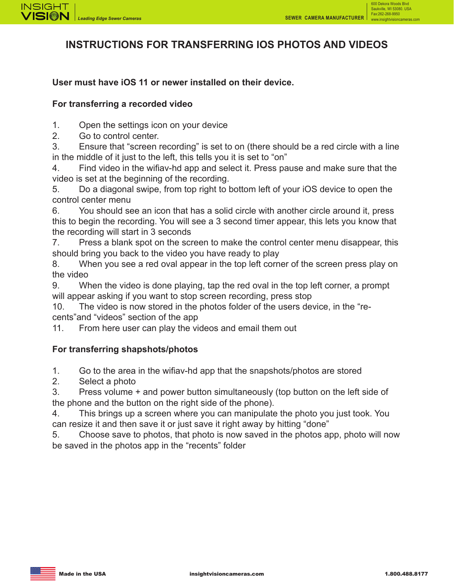600 Dekora Woods Blvd



## **INSTRUCTIONS FOR TRANSFERRING IOS PHOTOS AND VIDEOS**

#### **User must have iOS 11 or newer installed on their device.**

#### **For transferring a recorded video**

1. Open the settings icon on your device

2. Go to control center.

3. Ensure that "screen recording" is set to on (there should be a red circle with a line in the middle of it just to the left, this tells you it is set to "on"

4. Find video in the wifiav-hd app and select it. Press pause and make sure that the video is set at the beginning of the recording.

5. Do a diagonal swipe, from top right to bottom left of your iOS device to open the control center menu

6. You should see an icon that has a solid circle with another circle around it, press this to begin the recording. You will see a 3 second timer appear, this lets you know that the recording will start in 3 seconds

7. Press a blank spot on the screen to make the control center menu disappear, this should bring you back to the video you have ready to play

8. When you see a red oval appear in the top left corner of the screen press play on the video

9. When the video is done playing, tap the red oval in the top left corner, a prompt will appear asking if you want to stop screen recording, press stop

10. The video is now stored in the photos folder of the users device, in the "recents"and "videos" section of the app

11. From here user can play the videos and email them out

#### **For transferring shapshots/photos**

1. Go to the area in the wifiav-hd app that the snapshots/photos are stored

2. Select a photo

3. Press volume + and power button simultaneously (top button on the left side of the phone and the button on the right side of the phone).

4. This brings up a screen where you can manipulate the photo you just took. You can resize it and then save it or just save it right away by hitting "done"

5. Choose save to photos, that photo is now saved in the photos app, photo will now be saved in the photos app in the "recents" folder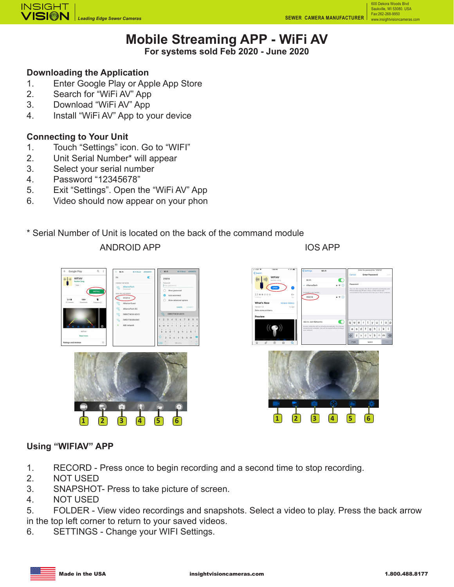600 Dekora Woods Blvd Saukville, WI 53080. USA Fax:262-268-9950



# **Mobile Streaming APP - WiFi AV**

**For systems sold Feb 2020 - June 2020**

## **Downloading the Application**

- 1. Enter Google Play or Apple App Store
- 2. Search for "WiFi AV" App
- 3. Download "WiFi AV" App
- 4. Install "WiFi AV" App to your device

### **Connecting to Your Unit**

- 1. Touch "Settings" icon. Go to "WIFI"
- 2. Unit Serial Number\* will appear
- 3. Select your serial number
- 4. Password "12345678"
- 5. Exit "Settings". Open the "WiFi AV" App
- 6. Video should now appear on your phon

## \* Serial Number of Unit is located on the back of the command module

#### ANDROID APP

IOS APP





#### **Using "WIFIAV" APP**

- 1. RECORD Press once to begin recording and a second time to stop recording.
- 2. NOT USED
- 3. SNAPSHOT- Press to take picture of screen.
- 4. NOT USED
- 5. FOLDER View video recordings and snapshots. Select a video to play. Press the back arrow in the top left corner to return to your saved videos.
- 6. SETTINGS Change your WIFI Settings.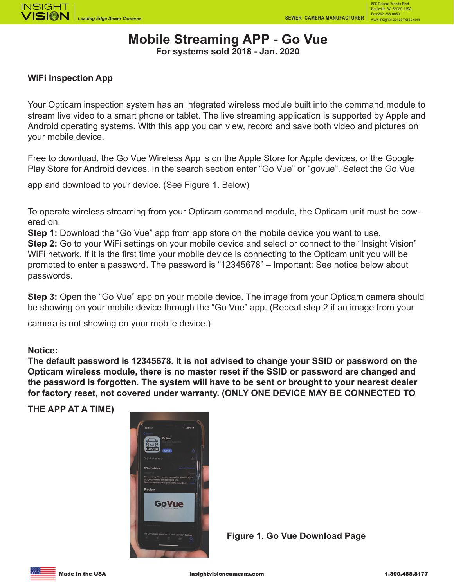600 Dekora Woods Bl Saukville, WI 53080. USA Fax:262-268-9950



## **Mobile Streaming APP - Go Vue**

**For systems sold 2018 - Jan. 2020**

#### **WiFi Inspection App**

Your Opticam inspection system has an integrated wireless module built into the command module to stream live video to a smart phone or tablet. The live streaming application is supported by Apple and Android operating systems. With this app you can view, record and save both video and pictures on your mobile device.

Free to download, the Go Vue Wireless App is on the Apple Store for Apple devices, or the Google Play Store for Android devices. In the search section enter "Go Vue" or "govue". Select the Go Vue

app and download to your device. (See Figure 1. Below)

To operate wireless streaming from your Opticam command module, the Opticam unit must be powered on.

**Step 1:** Download the "Go Vue" app from app store on the mobile device you want to use. **Step 2:** Go to your WiFi settings on your mobile device and select or connect to the "Insight Vision" WiFi network. If it is the first time your mobile device is connecting to the Opticam unit you will be prompted to enter a password. The password is "12345678" – Important: See notice below about passwords.

**Step 3:** Open the "Go Vue" app on your mobile device. The image from your Opticam camera should be showing on your mobile device through the "Go Vue" app. (Repeat step 2 if an image from your

camera is not showing on your mobile device.)

#### **Notice:**

**The default password is 12345678. It is not advised to change your SSID or password on the Opticam wireless module, there is no master reset if the SSID or password are changed and the password is forgotten. The system will have to be sent or brought to your nearest dealer for factory reset, not covered under warranty. (ONLY ONE DEVICE MAY BE CONNECTED TO** 

**THE APP AT A TIME)**



**Figure 1. Go Vue Download Page**